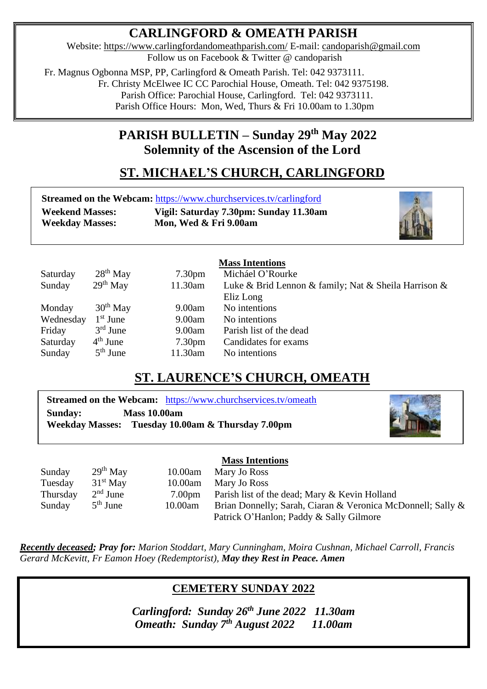# **CARLINGFORD & OMEATH PARISH**

Website:<https://www.carlingfordandomeathparish.com/> E-mail: [candoparish@gmail.com](mailto:candoparish@gmail.com) Follow us on Facebook & Twitter @ candoparish

 Fr. Magnus Ogbonna MSP, PP, Carlingford & Omeath Parish. Tel: 042 9373111. Fr. Christy McElwee IC CC Parochial House, Omeath. Tel: 042 9375198. Parish Office: Parochial House, Carlingford. Tel: 042 9373111. Parish Office Hours: Mon, Wed, Thurs & Fri 10.00am to 1.30pm

# **PARISH BULLETIN – Sunday 29 th May 2022 Solemnity of the Ascension of the Lord**

# **ST. MICHAEL'S CHURCH, CARLINGFORD**

|                        | <b>Streamed on the Webcam: https://www.churchservices.tv/carlingford</b> |
|------------------------|--------------------------------------------------------------------------|
| <b>Weekend Masses:</b> | Vigil: Saturday 7.30pm: Sunday 11.30am                                   |
| <b>Weekday Masses:</b> | Mon, Wed & Fri 9.00am                                                    |



# **Mass Intentions**

| Saturday  | $28th$ May | 7.30 <sub>pm</sub> | Micháel O'Rourke                                     |
|-----------|------------|--------------------|------------------------------------------------------|
| Sunday    | $29th$ May | 11.30am            | Luke & Brid Lennon & family; Nat & Sheila Harrison & |
|           |            |                    | Eliz Long                                            |
| Monday    | $30th$ May | 9.00am             | No intentions                                        |
| Wednesday | $1st$ June | 9.00am             | No intentions                                        |
| Friday    | $3rd$ June | 9.00am             | Parish list of the dead                              |
| Saturday  | $4th$ June | 7.30 <sub>pm</sub> | Candidates for exams                                 |
| Sunday    | $5th$ June | 11.30am            | No intentions                                        |

# **ST. LAURENCE'S CHURCH, OMEATH**

**Streamed on the Webcam:** <https://www.churchservices.tv/omeath> **Sunday: Mass 10.00am Weekday Masses: Tuesday 10.00am & Thursday 7.00pm**



|          |            |                    | <b>Mass Intentions</b>                                      |
|----------|------------|--------------------|-------------------------------------------------------------|
| Sunday   | $29th$ May | 10.00am            | Mary Jo Ross                                                |
| Tuesday  | $31st$ May | 10.00am            | Mary Jo Ross                                                |
| Thursday | $2nd$ June | 7.00 <sub>pm</sub> | Parish list of the dead; Mary & Kevin Holland               |
| Sunday   | $5th$ June | 10.00am            | Brian Donnelly; Sarah, Ciaran & Veronica McDonnell; Sally & |
|          |            |                    | Patrick O'Hanlon; Paddy & Sally Gilmore                     |

*Recently deceased; Pray for: Marion Stoddart, Mary Cunningham, Moira Cushnan, Michael Carroll, Francis*  *Gerard McKevitt, Fr Eamon Hoey (Redemptorist), May they Rest in Peace. Amen* 

# **CEMETERY SUNDAY 2022**

*Omeath: Sunday 7<sup>th</sup> August 2022* 11.00am *Carlingford: Sunday 26th June 2022 11.30am*